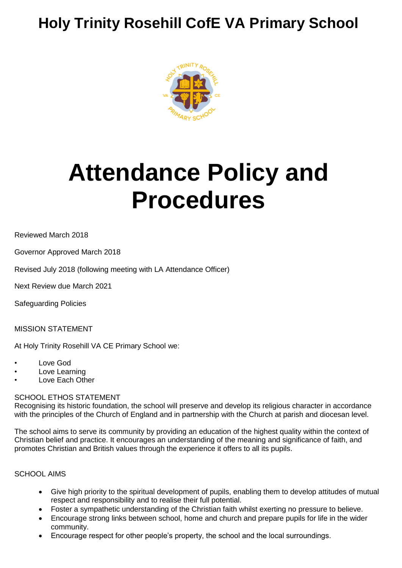## **Holy Trinity Rosehill CofE VA Primary School**



# **Attendance Policy and Procedures**

Reviewed March 2018

Governor Approved March 2018

Revised July 2018 (following meeting with LA Attendance Officer)

Next Review due March 2021

Safeguarding Policies

MISSION STATEMENT

At Holy Trinity Rosehill VA CE Primary School we:

- Love God
- Love Learning
- Love Each Other

#### SCHOOL ETHOS STATEMENT

Recognising its historic foundation, the school will preserve and develop its religious character in accordance with the principles of the Church of England and in partnership with the Church at parish and diocesan level.

The school aims to serve its community by providing an education of the highest quality within the context of Christian belief and practice. It encourages an understanding of the meaning and significance of faith, and promotes Christian and British values through the experience it offers to all its pupils.

#### SCHOOL AIMS

- Give high priority to the spiritual development of pupils, enabling them to develop attitudes of mutual respect and responsibility and to realise their full potential.
- Foster a sympathetic understanding of the Christian faith whilst exerting no pressure to believe.
- Encourage strong links between school, home and church and prepare pupils for life in the wider community.
- Encourage respect for other people's property, the school and the local surroundings.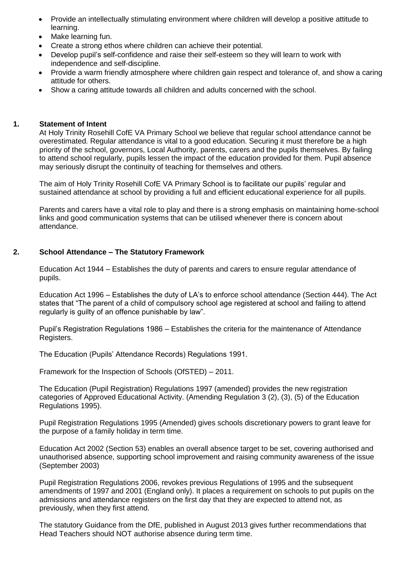- Provide an intellectually stimulating environment where children will develop a positive attitude to learning.
- Make learning fun.
- Create a strong ethos where children can achieve their potential.
- Develop pupil's self-confidence and raise their self-esteem so they will learn to work with independence and self-discipline.
- Provide a warm friendly atmosphere where children gain respect and tolerance of, and show a caring attitude for others.
- Show a caring attitude towards all children and adults concerned with the school.

#### **1. Statement of Intent**

At Holy Trinity Rosehill CofE VA Primary School we believe that regular school attendance cannot be overestimated. Regular attendance is vital to a good education. Securing it must therefore be a high priority of the school, governors, Local Authority, parents, carers and the pupils themselves. By failing to attend school regularly, pupils lessen the impact of the education provided for them. Pupil absence may seriously disrupt the continuity of teaching for themselves and others.

The aim of Holy Trinity Rosehill CofE VA Primary School is to facilitate our pupils' regular and sustained attendance at school by providing a full and efficient educational experience for all pupils.

Parents and carers have a vital role to play and there is a strong emphasis on maintaining home-school links and good communication systems that can be utilised whenever there is concern about attendance.

#### **2. School Attendance – The Statutory Framework**

Education Act 1944 – Establishes the duty of parents and carers to ensure regular attendance of pupils.

Education Act 1996 – Establishes the duty of LA's to enforce school attendance (Section 444). The Act states that "The parent of a child of compulsory school age registered at school and failing to attend regularly is guilty of an offence punishable by law".

Pupil's Registration Regulations 1986 – Establishes the criteria for the maintenance of Attendance Registers.

The Education (Pupils' Attendance Records) Regulations 1991.

Framework for the Inspection of Schools (OfSTED) – 2011.

The Education (Pupil Registration) Regulations 1997 (amended) provides the new registration categories of Approved Educational Activity. (Amending Regulation 3 (2), (3), (5) of the Education Regulations 1995).

Pupil Registration Regulations 1995 (Amended) gives schools discretionary powers to grant leave for the purpose of a family holiday in term time.

Education Act 2002 (Section 53) enables an overall absence target to be set, covering authorised and unauthorised absence, supporting school improvement and raising community awareness of the issue (September 2003)

Pupil Registration Regulations 2006, revokes previous Regulations of 1995 and the subsequent amendments of 1997 and 2001 (England only). It places a requirement on schools to put pupils on the admissions and attendance registers on the first day that they are expected to attend not, as previously, when they first attend.

The statutory Guidance from the DfE, published in August 2013 gives further recommendations that Head Teachers should NOT authorise absence during term time.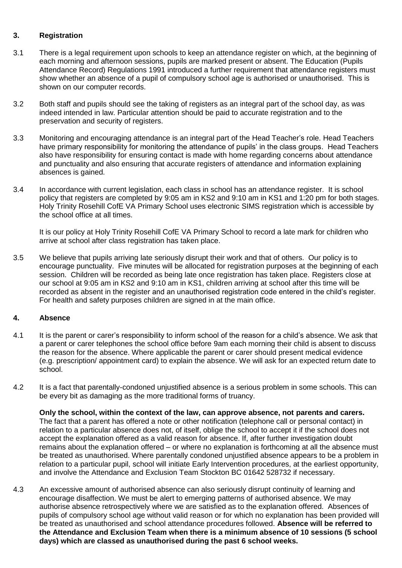#### **3. Registration**

- 3.1 There is a legal requirement upon schools to keep an attendance register on which, at the beginning of each morning and afternoon sessions, pupils are marked present or absent. The Education (Pupils Attendance Record) Regulations 1991 introduced a further requirement that attendance registers must show whether an absence of a pupil of compulsory school age is authorised or unauthorised. This is shown on our computer records.
- 3.2 Both staff and pupils should see the taking of registers as an integral part of the school day, as was indeed intended in law. Particular attention should be paid to accurate registration and to the preservation and security of registers.
- 3.3 Monitoring and encouraging attendance is an integral part of the Head Teacher's role. Head Teachers have primary responsibility for monitoring the attendance of pupils' in the class groups. Head Teachers also have responsibility for ensuring contact is made with home regarding concerns about attendance and punctuality and also ensuring that accurate registers of attendance and information explaining absences is gained.
- 3.4 In accordance with current legislation, each class in school has an attendance register. It is school policy that registers are completed by 9:05 am in KS2 and 9:10 am in KS1 and 1:20 pm for both stages. Holy Trinity Rosehill CofE VA Primary School uses electronic SIMS registration which is accessible by the school office at all times.

It is our policy at Holy Trinity Rosehill CofE VA Primary School to record a late mark for children who arrive at school after class registration has taken place.

3.5 We believe that pupils arriving late seriously disrupt their work and that of others. Our policy is to encourage punctuality. Five minutes will be allocated for registration purposes at the beginning of each session. Children will be recorded as being late once registration has taken place. Registers close at our school at 9:05 am in KS2 and 9:10 am in KS1, children arriving at school after this time will be recorded as absent in the register and an unauthorised registration code entered in the child's register. For health and safety purposes children are signed in at the main office.

#### **4. Absence**

- 4.1 It is the parent or carer's responsibility to inform school of the reason for a child's absence. We ask that a parent or carer telephones the school office before 9am each morning their child is absent to discuss the reason for the absence. Where applicable the parent or carer should present medical evidence (e.g. prescription/ appointment card) to explain the absence. We will ask for an expected return date to school.
- 4.2 It is a fact that parentally-condoned unjustified absence is a serious problem in some schools. This can be every bit as damaging as the more traditional forms of truancy.

**Only the school, within the context of the law, can approve absence, not parents and carers.** The fact that a parent has offered a note or other notification (telephone call or personal contact) in relation to a particular absence does not, of itself, oblige the school to accept it if the school does not accept the explanation offered as a valid reason for absence. If, after further investigation doubt remains about the explanation offered – or where no explanation is forthcoming at all the absence must be treated as unauthorised. Where parentally condoned unjustified absence appears to be a problem in relation to a particular pupil, school will initiate Early Intervention procedures, at the earliest opportunity, and involve the Attendance and Exclusion Team Stockton BC 01642 528732 if necessary.

4.3 An excessive amount of authorised absence can also seriously disrupt continuity of learning and encourage disaffection. We must be alert to emerging patterns of authorised absence. We may authorise absence retrospectively where we are satisfied as to the explanation offered. Absences of pupils of compulsory school age without valid reason or for which no explanation has been provided will be treated as unauthorised and school attendance procedures followed. **Absence will be referred to the Attendance and Exclusion Team when there is a minimum absence of 10 sessions (5 school days) which are classed as unauthorised during the past 6 school weeks.**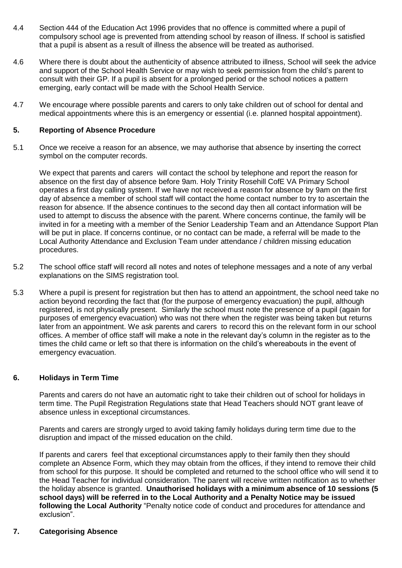- 4.4 Section 444 of the Education Act 1996 provides that no offence is committed where a pupil of compulsory school age is prevented from attending school by reason of illness. If school is satisfied that a pupil is absent as a result of illness the absence will be treated as authorised.
- 4.6 Where there is doubt about the authenticity of absence attributed to illness, School will seek the advice and support of the School Health Service or may wish to seek permission from the child's parent to consult with their GP. If a pupil is absent for a prolonged period or the school notices a pattern emerging, early contact will be made with the School Health Service.
- 4.7 We encourage where possible parents and carers to only take children out of school for dental and medical appointments where this is an emergency or essential (i.e. planned hospital appointment).

#### **5. Reporting of Absence Procedure**

5.1 Once we receive a reason for an absence, we may authorise that absence by inserting the correct symbol on the computer records.

We expect that parents and carers will contact the school by telephone and report the reason for absence on the first day of absence before 9am. Holy Trinity Rosehill CofE VA Primary School operates a first day calling system. If we have not received a reason for absence by 9am on the first day of absence a member of school staff will contact the home contact number to try to ascertain the reason for absence. If the absence continues to the second day then all contact information will be used to attempt to discuss the absence with the parent. Where concerns continue, the family will be invited in for a meeting with a member of the Senior Leadership Team and an Attendance Support Plan will be put in place. If concerns continue, or no contact can be made, a referral will be made to the Local Authority Attendance and Exclusion Team under attendance / children missing education procedures.

- 5.2 The school office staff will record all notes and notes of telephone messages and a note of any verbal explanations on the SIMS registration tool.
- 5.3 Where a pupil is present for registration but then has to attend an appointment, the school need take no action beyond recording the fact that (for the purpose of emergency evacuation) the pupil, although registered, is not physically present. Similarly the school must note the presence of a pupil (again for purposes of emergency evacuation) who was not there when the register was being taken but returns later from an appointment. We ask parents and carers to record this on the relevant form in our school offices. A member of office staff will make a note in the relevant day's column in the register as to the times the child came or left so that there is information on the child's whereabouts in the event of emergency evacuation.

#### **6. Holidays in Term Time**

Parents and carers do not have an automatic right to take their children out of school for holidays in term time. The Pupil Registration Regulations state that Head Teachers should NOT grant leave of absence unless in exceptional circumstances.

Parents and carers are strongly urged to avoid taking family holidays during term time due to the disruption and impact of the missed education on the child.

If parents and carers feel that exceptional circumstances apply to their family then they should complete an Absence Form, which they may obtain from the offices, if they intend to remove their child from school for this purpose. It should be completed and returned to the school office who will send it to the Head Teacher for individual consideration. The parent will receive written notification as to whether the holiday absence is granted. **Unauthorised holidays with a minimum absence of 10 sessions (5 school days) will be referred in to the Local Authority and a Penalty Notice may be issued following the Local Authority** "Penalty notice code of conduct and procedures for attendance and exclusion".

#### **7. Categorising Absence**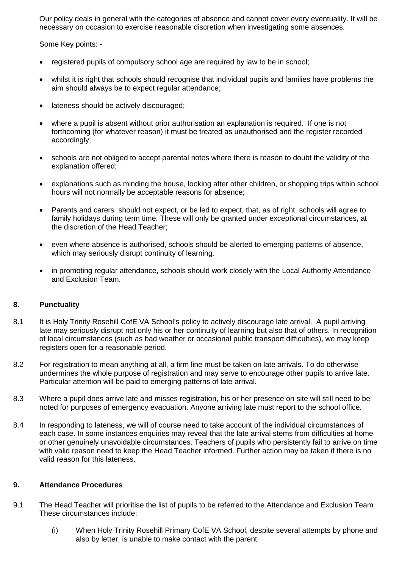Our policy deals in general with the categories of absence and cannot cover every eventuality. It will be necessary on occasion to exercise reasonable discretion when investigating some absences.

Some Key points: -

- registered pupils of compulsory school age are required by law to be in school;
- whilst it is right that schools should recognise that individual pupils and families have problems the aim should always be to expect regular attendance;
- lateness should be actively discouraged;
- where a pupil is absent without prior authorisation an explanation is required. If one is not forthcoming (for whatever reason) it must be treated as unauthorised and the register recorded accordingly;
- schools are not obliged to accept parental notes where there is reason to doubt the validity of the explanation offered;
- explanations such as minding the house, looking after other children, or shopping trips within school hours will not normally be acceptable reasons for absence;
- Parents and carers should not expect, or be led to expect, that, as of right, schools will agree to family holidays during term time. These will only be granted under exceptional circumstances, at the discretion of the Head Teacher;
- even where absence is authorised, schools should be alerted to emerging patterns of absence, which may seriously disrupt continuity of learning.
- in promoting regular attendance, schools should work closely with the Local Authority Attendance and Exclusion Team.

#### **8. Punctuality**

- 8.1 It is Holy Trinity Rosehill CofE VA School's policy to actively discourage late arrival. A pupil arriving late may seriously disrupt not only his or her continuity of learning but also that of others. In recognition of local circumstances (such as bad weather or occasional public transport difficulties), we may keep registers open for a reasonable period.
- 8.2 For registration to mean anything at all, a firm line must be taken on late arrivals. To do otherwise undermines the whole purpose of registration and may serve to encourage other pupils to arrive late. Particular attention will be paid to emerging patterns of late arrival.
- 8.3 Where a pupil does arrive late and misses registration, his or her presence on site will still need to be noted for purposes of emergency evacuation. Anyone arriving late must report to the school office.
- 8.4 In responding to lateness, we will of course need to take account of the individual circumstances of each case. In some instances enquiries may reveal that the late arrival stems from difficulties at home or other genuinely unavoidable circumstances. Teachers of pupils who persistently fail to arrive on time with valid reason need to keep the Head Teacher informed. Further action may be taken if there is no valid reason for this lateness.

#### **9. Attendance Procedures**

- 9.1 The Head Teacher will prioritise the list of pupils to be referred to the Attendance and Exclusion Team These circumstances include:
	- (i) When Holy Trinity Rosehill Primary CofE VA School, despite several attempts by phone and also by letter, is unable to make contact with the parent.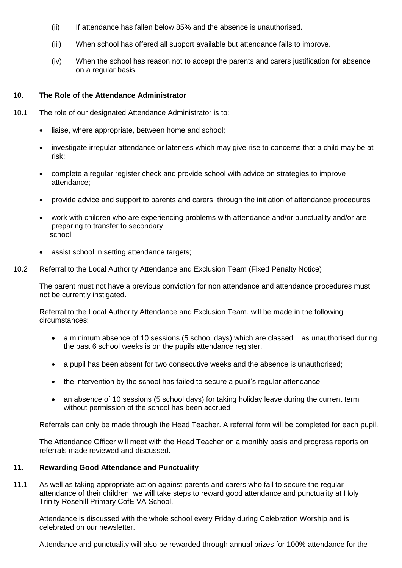- (ii) If attendance has fallen below 85% and the absence is unauthorised.
- (iii) When school has offered all support available but attendance fails to improve.
- (iv) When the school has reason not to accept the parents and carers justification for absence on a regular basis.

#### **10. The Role of the Attendance Administrator**

- 10.1 The role of our designated Attendance Administrator is to:
	- liaise, where appropriate, between home and school;
	- investigate irregular attendance or lateness which may give rise to concerns that a child may be at risk;
	- complete a regular register check and provide school with advice on strategies to improve attendance;
	- provide advice and support to parents and carers through the initiation of attendance procedures
	- work with children who are experiencing problems with attendance and/or punctuality and/or are preparing to transfer to secondary school
	- assist school in setting attendance targets;
- 10.2 Referral to the Local Authority Attendance and Exclusion Team (Fixed Penalty Notice)

The parent must not have a previous conviction for non attendance and attendance procedures must not be currently instigated.

Referral to the Local Authority Attendance and Exclusion Team. will be made in the following circumstances:

- a minimum absence of 10 sessions (5 school days) which are classed as unauthorised during the past 6 school weeks is on the pupils attendance register.
- a pupil has been absent for two consecutive weeks and the absence is unauthorised;
- the intervention by the school has failed to secure a pupil's regular attendance.
- an absence of 10 sessions (5 school days) for taking holiday leave during the current term without permission of the school has been accrued

Referrals can only be made through the Head Teacher. A referral form will be completed for each pupil.

The Attendance Officer will meet with the Head Teacher on a monthly basis and progress reports on referrals made reviewed and discussed.

#### **11. Rewarding Good Attendance and Punctuality**

11.1 As well as taking appropriate action against parents and carers who fail to secure the regular attendance of their children, we will take steps to reward good attendance and punctuality at Holy Trinity Rosehill Primary CofE VA School.

Attendance is discussed with the whole school every Friday during Celebration Worship and is celebrated on our newsletter.

Attendance and punctuality will also be rewarded through annual prizes for 100% attendance for the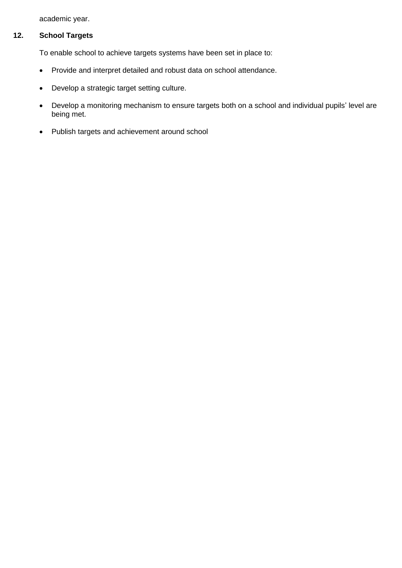academic year.

### **12. School Targets**

To enable school to achieve targets systems have been set in place to:

- Provide and interpret detailed and robust data on school attendance.
- Develop a strategic target setting culture.
- Develop a monitoring mechanism to ensure targets both on a school and individual pupils' level are being met.
- Publish targets and achievement around school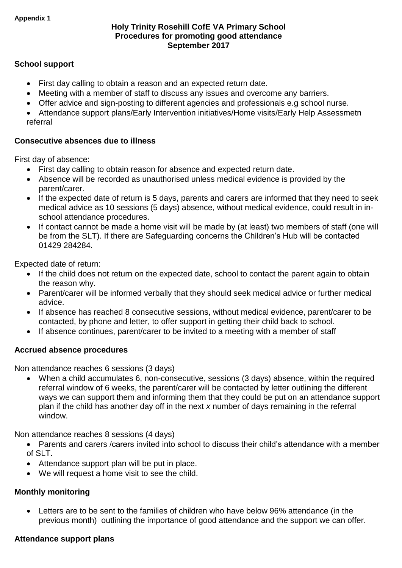#### **Holy Trinity Rosehill CofE VA Primary School Procedures for promoting good attendance September 2017**

#### **School support**

- First day calling to obtain a reason and an expected return date.
- Meeting with a member of staff to discuss any issues and overcome any barriers.
- Offer advice and sign-posting to different agencies and professionals e.g school nurse.
- Attendance support plans/Early Intervention initiatives/Home visits/Early Help Assessmetn referral

#### **Consecutive absences due to illness**

First day of absence:

- First day calling to obtain reason for absence and expected return date.
- Absence will be recorded as unauthorised unless medical evidence is provided by the parent/carer.
- If the expected date of return is 5 days, parents and carers are informed that they need to seek medical advice as 10 sessions (5 days) absence, without medical evidence, could result in inschool attendance procedures.
- If contact cannot be made a home visit will be made by (at least) two members of staff (one will be from the SLT). If there are Safeguarding concerns the Children's Hub will be contacted 01429 284284.

Expected date of return:

- If the child does not return on the expected date, school to contact the parent again to obtain the reason why.
- Parent/carer will be informed verbally that they should seek medical advice or further medical advice.
- If absence has reached 8 consecutive sessions, without medical evidence, parent/carer to be contacted, by phone and letter, to offer support in getting their child back to school.
- If absence continues, parent/carer to be invited to a meeting with a member of staff

#### **Accrued absence procedures**

Non attendance reaches 6 sessions (3 days)

 When a child accumulates 6, non-consecutive, sessions (3 days) absence, within the required referral window of 6 weeks, the parent/carer will be contacted by letter outlining the different ways we can support them and informing them that they could be put on an attendance support plan if the child has another day off in the next *x* number of days remaining in the referral window.

Non attendance reaches 8 sessions (4 days)

- Parents and carers /carers invited into school to discuss their child's attendance with a member of SLT.
- Attendance support plan will be put in place.
- We will request a home visit to see the child.

#### **Monthly monitoring**

 Letters are to be sent to the families of children who have below 96% attendance (in the previous month) outlining the importance of good attendance and the support we can offer.

#### **Attendance support plans**